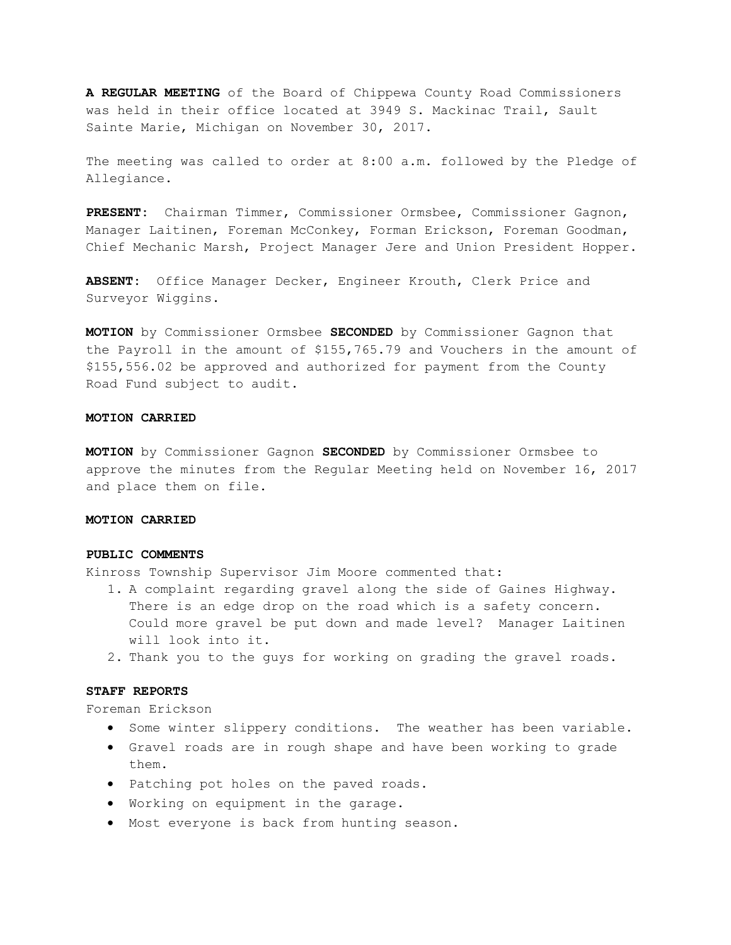**A REGULAR MEETING** of the Board of Chippewa County Road Commissioners was held in their office located at 3949 S. Mackinac Trail, Sault Sainte Marie, Michigan on November 30, 2017.

The meeting was called to order at 8:00 a.m. followed by the Pledge of Allegiance.

**PRESENT:** Chairman Timmer, Commissioner Ormsbee, Commissioner Gagnon, Manager Laitinen, Foreman McConkey, Forman Erickson, Foreman Goodman, Chief Mechanic Marsh, Project Manager Jere and Union President Hopper.

**ABSENT:** Office Manager Decker, Engineer Krouth, Clerk Price and Surveyor Wiggins.

**MOTION** by Commissioner Ormsbee **SECONDED** by Commissioner Gagnon that the Payroll in the amount of \$155,765.79 and Vouchers in the amount of \$155,556.02 be approved and authorized for payment from the County Road Fund subject to audit.

#### **MOTION CARRIED**

**MOTION** by Commissioner Gagnon **SECONDED** by Commissioner Ormsbee to approve the minutes from the Regular Meeting held on November 16, 2017 and place them on file.

### **MOTION CARRIED**

#### **PUBLIC COMMENTS**

Kinross Township Supervisor Jim Moore commented that:

- 1. A complaint regarding gravel along the side of Gaines Highway. There is an edge drop on the road which is a safety concern. Could more gravel be put down and made level? Manager Laitinen will look into it.
- 2. Thank you to the guys for working on grading the gravel roads.

#### **STAFF REPORTS**

Foreman Erickson

- Some winter slippery conditions. The weather has been variable.
- Gravel roads are in rough shape and have been working to grade them.
- Patching pot holes on the paved roads.
- Working on equipment in the garage.
- Most everyone is back from hunting season.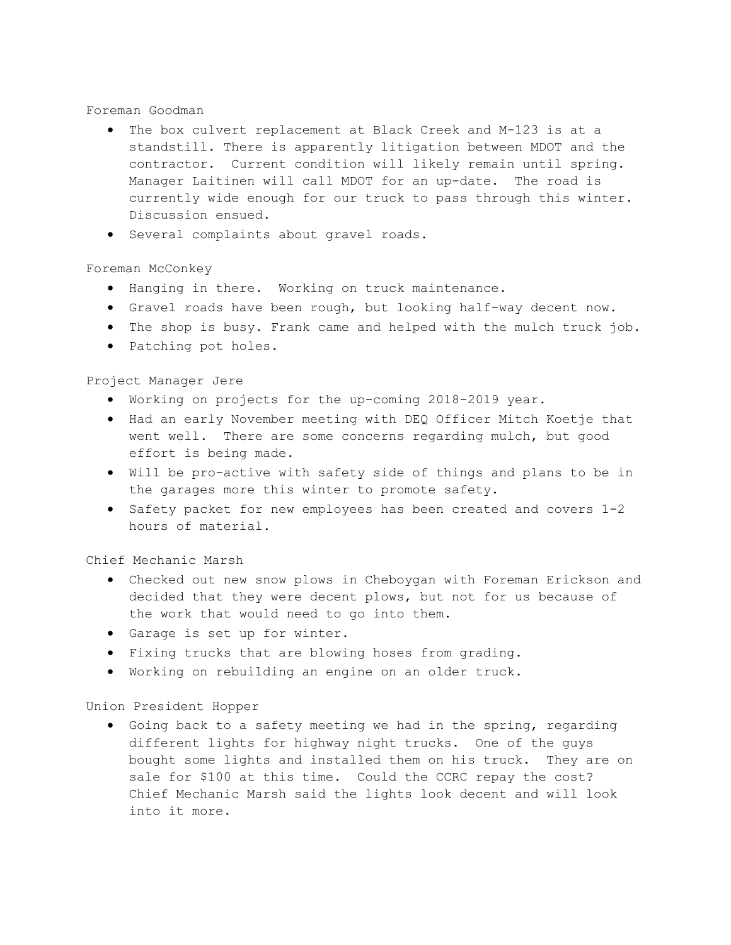# Foreman Goodman

- The box culvert replacement at Black Creek and M-123 is at a standstill. There is apparently litigation between MDOT and the contractor. Current condition will likely remain until spring. Manager Laitinen will call MDOT for an up-date. The road is currently wide enough for our truck to pass through this winter. Discussion ensued.
- Several complaints about gravel roads.

# Foreman McConkey

- Hanging in there. Working on truck maintenance.
- Gravel roads have been rough, but looking half-way decent now.
- The shop is busy. Frank came and helped with the mulch truck job.
- Patching pot holes.

# Project Manager Jere

- Working on projects for the up-coming 2018-2019 year.
- Had an early November meeting with DEQ Officer Mitch Koetje that went well. There are some concerns regarding mulch, but good effort is being made.
- Will be pro-active with safety side of things and plans to be in the garages more this winter to promote safety.
- Safety packet for new employees has been created and covers 1-2 hours of material.

# Chief Mechanic Marsh

- Checked out new snow plows in Cheboygan with Foreman Erickson and decided that they were decent plows, but not for us because of the work that would need to go into them.
- Garage is set up for winter.
- Fixing trucks that are blowing hoses from grading.
- Working on rebuilding an engine on an older truck.

# Union President Hopper

• Going back to a safety meeting we had in the spring, regarding different lights for highway night trucks. One of the guys bought some lights and installed them on his truck. They are on sale for \$100 at this time. Could the CCRC repay the cost? Chief Mechanic Marsh said the lights look decent and will look into it more.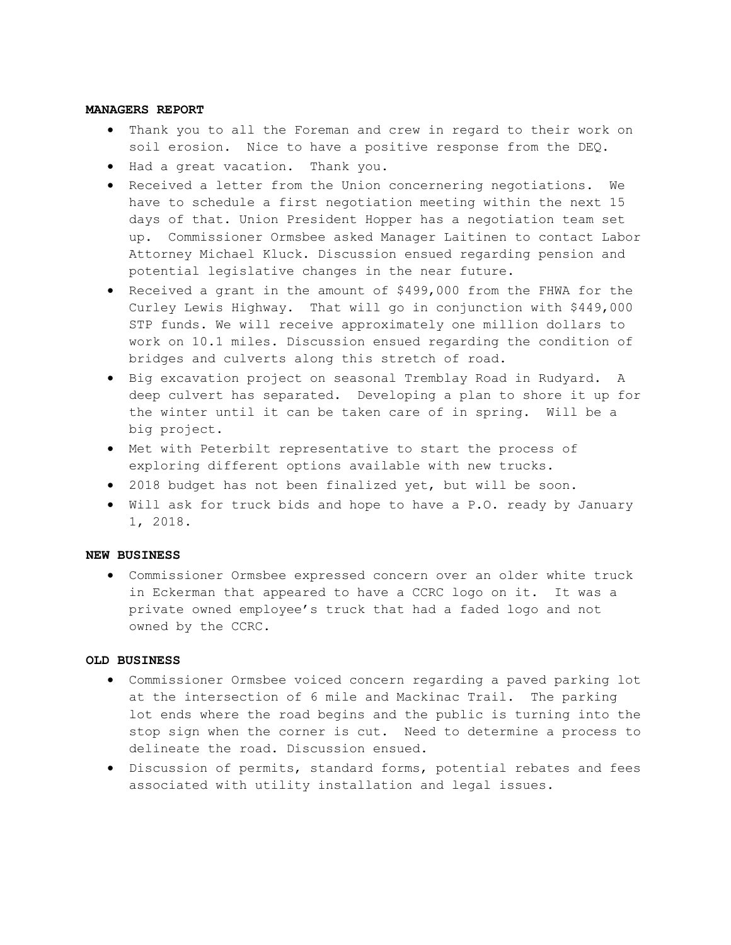#### **MANAGERS REPORT**

- Thank you to all the Foreman and crew in regard to their work on soil erosion. Nice to have a positive response from the DEQ.
- Had a great vacation. Thank you.
- Received a letter from the Union concernering negotiations. We have to schedule a first negotiation meeting within the next 15 days of that. Union President Hopper has a negotiation team set up. Commissioner Ormsbee asked Manager Laitinen to contact Labor Attorney Michael Kluck. Discussion ensued regarding pension and potential legislative changes in the near future.
- Received a grant in the amount of \$499,000 from the FHWA for the Curley Lewis Highway. That will go in conjunction with \$449,000 STP funds. We will receive approximately one million dollars to work on 10.1 miles. Discussion ensued regarding the condition of bridges and culverts along this stretch of road.
- Big excavation project on seasonal Tremblay Road in Rudyard. A deep culvert has separated. Developing a plan to shore it up for the winter until it can be taken care of in spring. Will be a big project.
- Met with Peterbilt representative to start the process of exploring different options available with new trucks.
- 2018 budget has not been finalized yet, but will be soon.
- Will ask for truck bids and hope to have a P.O. ready by January 1, 2018.

## **NEW BUSINESS**

• Commissioner Ormsbee expressed concern over an older white truck in Eckerman that appeared to have a CCRC logo on it. It was a private owned employee's truck that had a faded logo and not owned by the CCRC.

### **OLD BUSINESS**

- Commissioner Ormsbee voiced concern regarding a paved parking lot at the intersection of 6 mile and Mackinac Trail. The parking lot ends where the road begins and the public is turning into the stop sign when the corner is cut. Need to determine a process to delineate the road. Discussion ensued.
- Discussion of permits, standard forms, potential rebates and fees associated with utility installation and legal issues.